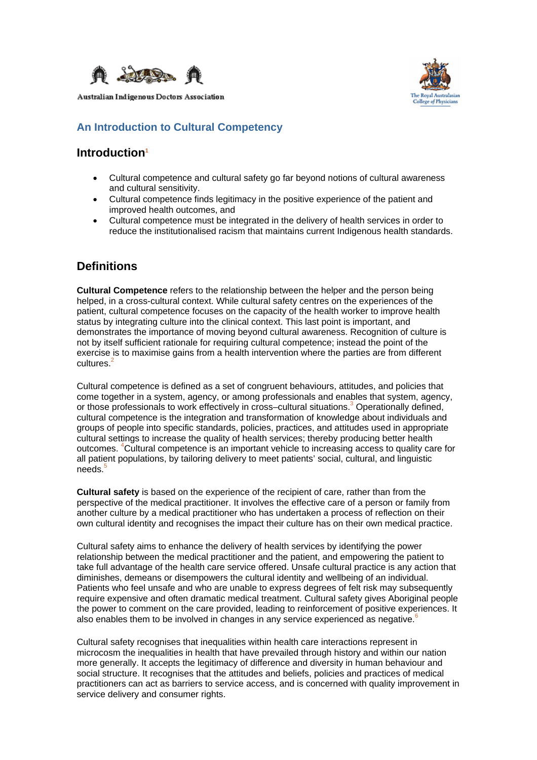

**Australian Indigenous Doctors Association** 



### **An Introduction to Cultural Competency**

### **Introduction1**

- Cultural competence and cultural safety go far beyond notions of cultural awareness and cultural sensitivity.
- Cultural competence finds legitimacy in the positive experience of the patient and improved health outcomes, and
- Cultural competence must be integrated in the delivery of health services in order to reduce the institutionalised racism that maintains current Indigenous health standards.

## **Definitions**

**Cultural Competence** refers to the relationship between the helper and the person being helped, in a cross-cultural context. While cultural safety centres on the experiences of the patient, cultural competence focuses on the capacity of the health worker to improve health status by integrating culture into the clinical context. This last point is important, and demonstrates the importance of moving beyond cultural awareness. Recognition of culture is not by itself sufficient rationale for requiring cultural competence; instead the point of the exercise is to maximise gains from a health intervention where the parties are from different  $c$ ultures.<sup>2</sup>

Cultural competence is defined as a set of congruent behaviours, attitudes, and policies that come together in a system, agency, or among professionals and enables that system, agency, or those professionals to work effectively in cross-cultural situations.<sup>3</sup> Operationally defined, cultural competence is the integration and transformation of knowledge about individuals and groups of people into specific standards, policies, practices, and attitudes used in appropriate cultural settings to increase the quality of health services; thereby producing better health outcomes. 4 Cultural competence is an important vehicle to increasing access to quality care for all patient populations, by tailoring delivery to meet patients' social, cultural, and linguistic  $needs$ . $5$ 

**Cultural safety** is based on the experience of the recipient of care, rather than from the perspective of the medical practitioner. It involves the effective care of a person or family from another culture by a medical practitioner who has undertaken a process of reflection on their own cultural identity and recognises the impact their culture has on their own medical practice.

Cultural safety aims to enhance the delivery of health services by identifying the power relationship between the medical practitioner and the patient, and empowering the patient to take full advantage of the health care service offered. Unsafe cultural practice is any action that diminishes, demeans or disempowers the cultural identity and wellbeing of an individual. Patients who feel unsafe and who are unable to express degrees of felt risk may subsequently require expensive and often dramatic medical treatment. Cultural safety gives Aboriginal people the power to comment on the care provided, leading to reinforcement of positive experiences. It also enables them to be involved in changes in any service experienced as negative.<sup>6</sup>

Cultural safety recognises that inequalities within health care interactions represent in microcosm the inequalities in health that have prevailed through history and within our nation more generally. It accepts the legitimacy of difference and diversity in human behaviour and social structure. It recognises that the attitudes and beliefs, policies and practices of medical practitioners can act as barriers to service access, and is concerned with quality improvement in service delivery and consumer rights.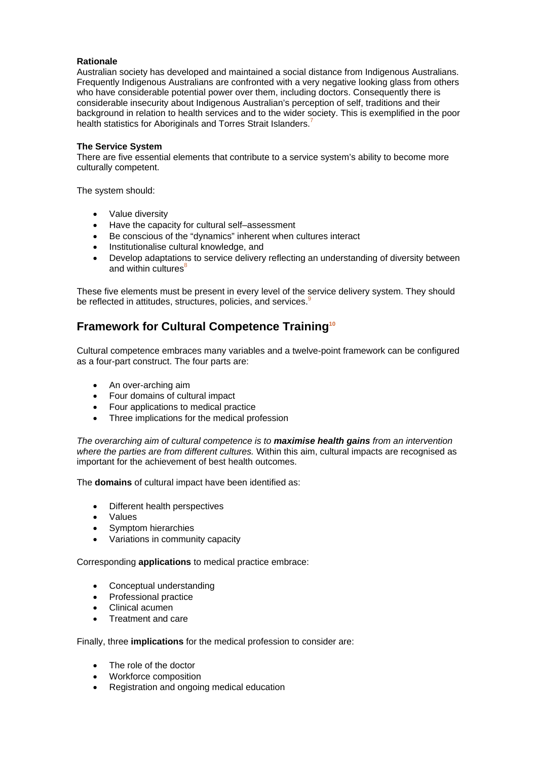#### **Rationale**

Australian society has developed and maintained a social distance from Indigenous Australians. Frequently Indigenous Australians are confronted with a very negative looking glass from others who have considerable potential power over them, including doctors. Consequently there is considerable insecurity about Indigenous Australian's perception of self, traditions and their background in relation to health services and to the wider society. This is exemplified in the poor health statistics for Aboriginals and Torres Strait Islanders.<sup>7</sup>

#### **The Service System**

There are five essential elements that contribute to a service system's ability to become more culturally competent.

The system should:

- Value diversity
- Have the capacity for cultural self–assessment
- Be conscious of the "dynamics" inherent when cultures interact
- Institutionalise cultural knowledge, and
- Develop adaptations to service delivery reflecting an understanding of diversity between and within cultures<sup>8</sup>

These five elements must be present in every level of the service delivery system. They should be reflected in attitudes, structures, policies, and services.<sup>9</sup>

## **Framework for Cultural Competence Training10**

Cultural competence embraces many variables and a twelve-point framework can be configured as a four-part construct. The four parts are:

- An over-arching aim
- Four domains of cultural impact
- Four applications to medical practice
- Three implications for the medical profession

*The overarching aim of cultural competence is to maximise health gains from an intervention where the parties are from different cultures.* Within this aim, cultural impacts are recognised as important for the achievement of best health outcomes.

The **domains** of cultural impact have been identified as:

- Different health perspectives
- Values
- Symptom hierarchies
- Variations in community capacity

Corresponding **applications** to medical practice embrace:

- Conceptual understanding
- Professional practice
- Clinical acumen
- Treatment and care

Finally, three **implications** for the medical profession to consider are:

- The role of the doctor
- Workforce composition
- Registration and ongoing medical education